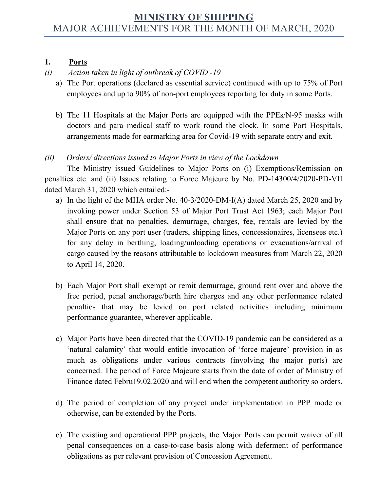# **MINISTRY OF SHIPPING** MAJOR ACHIEVEMENTS FOR THE MONTH OF MARCH, 2020

#### **1. Ports**

# *(i) Action taken in light of outbreak of COVID -19*

- a) The Port operations (declared as essential service) continued with up to 75% of Port employees and up to 90% of non-port employees reporting for duty in some Ports.
- b) The 11 Hospitals at the Major Ports are equipped with the PPEs/N-95 masks with doctors and para medical staff to work round the clock. In some Port Hospitals, arrangements made for earmarking area for Covid-19 with separate entry and exit.

## *(ii) Orders/ directions issued to Major Ports in view of the Lockdown*

The Ministry issued Guidelines to Major Ports on (i) Exemptions/Remission on penalties etc. and (ii) Issues relating to Force Majeure by No. PD-14300/4/2020-PD-VII dated March 31, 2020 which entailed:-

- a) In the light of the MHA order No. 40-3/2020-DM-I(A) dated March 25, 2020 and by invoking power under Section 53 of Major Port Trust Act 1963; each Major Port shall ensure that no penalties, demurrage, charges, fee, rentals are levied by the Major Ports on any port user (traders, shipping lines, concessionaires, licensees etc.) for any delay in berthing, loading/unloading operations or evacuations/arrival of cargo caused by the reasons attributable to lockdown measures from March 22, 2020 to April 14, 2020.
- b) Each Major Port shall exempt or remit demurrage, ground rent over and above the free period, penal anchorage/berth hire charges and any other performance related penalties that may be levied on port related activities including minimum performance guarantee, wherever applicable.
- c) Major Ports have been directed that the COVID-19 pandemic can be considered as a 'natural calamity' that would entitle invocation of 'force majeure' provision in as much as obligations under various contracts (involving the major ports) are concerned. The period of Force Majeure starts from the date of order of Ministry of Finance dated Febru19.02.2020 and will end when the competent authority so orders.
- d) The period of completion of any project under implementation in PPP mode or otherwise, can be extended by the Ports.
- e) The existing and operational PPP projects, the Major Ports can permit waiver of all penal consequences on a case-to-case basis along with deferment of performance obligations as per relevant provision of Concession Agreement.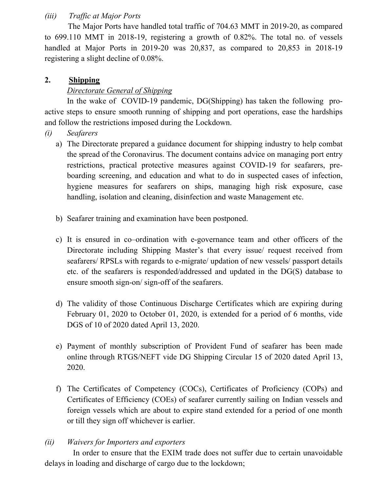#### *(iii) Traffic at Major Ports*

 The Major Ports have handled total traffic of 704.63 MMT in 2019-20, as compared to 699.110 MMT in 2018-19, registering a growth of 0.82%. The total no. of vessels handled at Major Ports in 2019-20 was 20,837, as compared to 20,853 in 2018-19 registering a slight decline of 0.08%.

### **2. Shipping**

## *Directorate General of Shipping*

In the wake of COVID-19 pandemic, DG(Shipping) has taken the following proactive steps to ensure smooth running of shipping and port operations, ease the hardships and follow the restrictions imposed during the Lockdown.

- *(i) Seafarers*
	- a) The Directorate prepared a guidance document for shipping industry to help combat the spread of the Coronavirus. The document contains advice on managing port entry restrictions, practical protective measures against COVID-19 for seafarers, preboarding screening, and education and what to do in suspected cases of infection, hygiene measures for seafarers on ships, managing high risk exposure, case handling, isolation and cleaning, disinfection and waste Management etc.
	- b) Seafarer training and examination have been postponed.
	- c) It is ensured in co–ordination with e-governance team and other officers of the Directorate including Shipping Master's that every issue/ request received from seafarers/ RPSLs with regards to e-migrate/ updation of new vessels/ passport details etc. of the seafarers is responded/addressed and updated in the DG(S) database to ensure smooth sign-on/ sign-off of the seafarers.
	- d) The validity of those Continuous Discharge Certificates which are expiring during February 01, 2020 to October 01, 2020, is extended for a period of 6 months, vide DGS of 10 of 2020 dated April 13, 2020.
	- e) Payment of monthly subscription of Provident Fund of seafarer has been made online through RTGS/NEFT vide DG Shipping Circular 15 of 2020 dated April 13, 2020.
	- f) The Certificates of Competency (COCs), Certificates of Proficiency (COPs) and Certificates of Efficiency (COEs) of seafarer currently sailing on Indian vessels and foreign vessels which are about to expire stand extended for a period of one month or till they sign off whichever is earlier.

### *(ii) Waivers for Importers and exporters*

 In order to ensure that the EXIM trade does not suffer due to certain unavoidable delays in loading and discharge of cargo due to the lockdown;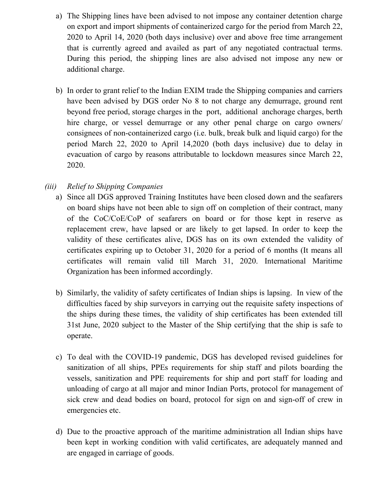- a) The Shipping lines have been advised to not impose any container detention charge on export and import shipments of containerized cargo for the period from March 22, 2020 to April 14, 2020 (both days inclusive) over and above free time arrangement that is currently agreed and availed as part of any negotiated contractual terms. During this period, the shipping lines are also advised not impose any new or additional charge.
- b) In order to grant relief to the Indian EXIM trade the Shipping companies and carriers have been advised by DGS order No 8 to not charge any demurrage, ground rent beyond free period, storage charges in the port, additional anchorage charges, berth hire charge, or vessel demurrage or any other penal charge on cargo owners/ consignees of non-containerized cargo (i.e. bulk, break bulk and liquid cargo) for the period March 22, 2020 to April 14,2020 (both days inclusive) due to delay in evacuation of cargo by reasons attributable to lockdown measures since March 22, 2020.

## *(iii) Relief to Shipping Companies*

- a) Since all DGS approved Training Institutes have been closed down and the seafarers on board ships have not been able to sign off on completion of their contract, many of the CoC/CoE/CoP of seafarers on board or for those kept in reserve as replacement crew, have lapsed or are likely to get lapsed. In order to keep the validity of these certificates alive, DGS has on its own extended the validity of certificates expiring up to October 31, 2020 for a period of 6 months (It means all certificates will remain valid till March 31, 2020. International Maritime Organization has been informed accordingly.
- b) Similarly, the validity of safety certificates of Indian ships is lapsing. In view of the difficulties faced by ship surveyors in carrying out the requisite safety inspections of the ships during these times, the validity of ship certificates has been extended till 31st June, 2020 subject to the Master of the Ship certifying that the ship is safe to operate.
- c) To deal with the COVID-19 pandemic, DGS has developed revised guidelines for sanitization of all ships, PPEs requirements for ship staff and pilots boarding the vessels, sanitization and PPE requirements for ship and port staff for loading and unloading of cargo at all major and minor Indian Ports, protocol for management of sick crew and dead bodies on board, protocol for sign on and sign-off of crew in emergencies etc.
- d) Due to the proactive approach of the maritime administration all Indian ships have been kept in working condition with valid certificates, are adequately manned and are engaged in carriage of goods.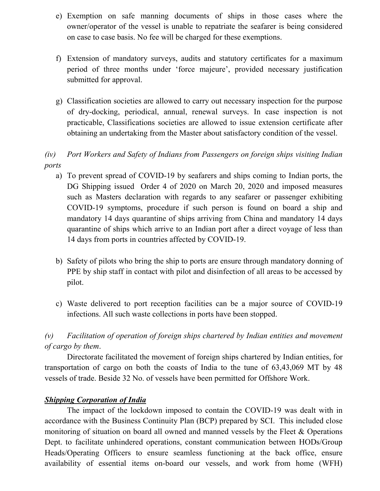- e) Exemption on safe manning documents of ships in those cases where the owner/operator of the vessel is unable to repatriate the seafarer is being considered on case to case basis. No fee will be charged for these exemptions.
- f) Extension of mandatory surveys, audits and statutory certificates for a maximum period of three months under 'force majeure', provided necessary justification submitted for approval.
- g) Classification societies are allowed to carry out necessary inspection for the purpose of dry-docking, periodical, annual, renewal surveys. In case inspection is not practicable, Classifications societies are allowed to issue extension certificate after obtaining an undertaking from the Master about satisfactory condition of the vessel.

# *(iv) Port Workers and Safety of Indians from Passengers on foreign ships visiting Indian ports*

- a) To prevent spread of COVID-19 by seafarers and ships coming to Indian ports, the DG Shipping issued Order 4 of 2020 on March 20, 2020 and imposed measures such as Masters declaration with regards to any seafarer or passenger exhibiting COVID-19 symptoms, procedure if such person is found on board a ship and mandatory 14 days quarantine of ships arriving from China and mandatory 14 days quarantine of ships which arrive to an Indian port after a direct voyage of less than 14 days from ports in countries affected by COVID-19.
- b) Safety of pilots who bring the ship to ports are ensure through mandatory donning of PPE by ship staff in contact with pilot and disinfection of all areas to be accessed by pilot.
- c) Waste delivered to port reception facilities can be a major source of COVID-19 infections. All such waste collections in ports have been stopped.

# *(v) Facilitation of operation of foreign ships chartered by Indian entities and movement of cargo by them*.

Directorate facilitated the movement of foreign ships chartered by Indian entities, for transportation of cargo on both the coasts of India to the tune of 63,43,069 MT by 48 vessels of trade. Beside 32 No. of vessels have been permitted for Offshore Work.

#### *Shipping Corporation of India*

The impact of the lockdown imposed to contain the COVID-19 was dealt with in accordance with the Business Continuity Plan (BCP) prepared by SCI. This included close monitoring of situation on board all owned and manned vessels by the Fleet & Operations Dept. to facilitate unhindered operations, constant communication between HODs/Group Heads/Operating Officers to ensure seamless functioning at the back office, ensure availability of essential items on-board our vessels, and work from home (WFH)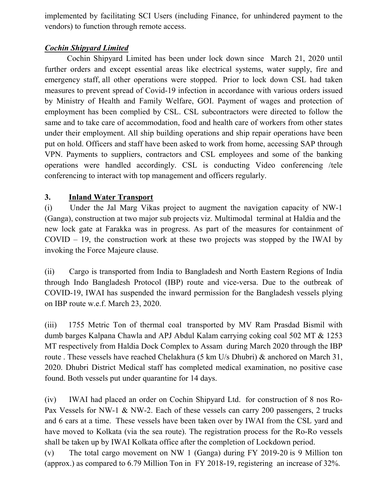implemented by facilitating SCI Users (including Finance, for unhindered payment to the vendors) to function through remote access.

# *Cochin Shipyard Limited*

Cochin Shipyard Limited has been under lock down since March 21, 2020 until further orders and except essential areas like electrical systems, water supply, fire and emergency staff, all other operations were stopped. Prior to lock down CSL had taken measures to prevent spread of Covid-19 infection in accordance with various orders issued by Ministry of Health and Family Welfare, GOI. Payment of wages and protection of employment has been complied by CSL. CSL subcontractors were directed to follow the same and to take care of accommodation, food and health care of workers from other states under their employment. All ship building operations and ship repair operations have been put on hold. Officers and staff have been asked to work from home, accessing SAP through VPN. Payments to suppliers, contractors and CSL employees and some of the banking operations were handled accordingly. CSL is conducting Video conferencing /tele conferencing to interact with top management and officers regularly.

### **3. Inland Water Transport**

(i) Under the Jal Marg Vikas project to augment the navigation capacity of NW-1 (Ganga), construction at two major sub projects viz. Multimodal terminal at Haldia and the new lock gate at Farakka was in progress. As part of the measures for containment of COVID – 19, the construction work at these two projects was stopped by the IWAI by invoking the Force Majeure clause.

(ii) Cargo is transported from India to Bangladesh and North Eastern Regions of India through Indo Bangladesh Protocol (IBP) route and vice-versa. Due to the outbreak of COVID-19, IWAI has suspended the inward permission for the Bangladesh vessels plying on IBP route w.e.f. March 23, 2020.

(iii) 1755 Metric Ton of thermal coal transported by MV Ram Prasdad Bismil with dumb barges Kalpana Chawla and APJ Abdul Kalam carrying coking coal 502 MT & 1253 MT respectively from Haldia Dock Complex to Assam during March 2020 through the IBP route . These vessels have reached Chelakhura (5 km U/s Dhubri) & anchored on March 31, 2020. Dhubri District Medical staff has completed medical examination, no positive case found. Both vessels put under quarantine for 14 days.

(iv) IWAI had placed an order on Cochin Shipyard Ltd. for construction of 8 nos Ro-Pax Vessels for NW-1 & NW-2. Each of these vessels can carry 200 passengers, 2 trucks and 6 cars at a time. These vessels have been taken over by IWAI from the CSL yard and have moved to Kolkata (via the sea route). The registration process for the Ro-Ro vessels shall be taken up by IWAI Kolkata office after the completion of Lockdown period.

(v) The total cargo movement on NW 1 (Ganga) during FY 2019-20 is 9 Million ton (approx.) as compared to 6.79 Million Ton in FY 2018-19, registering an increase of 32%.